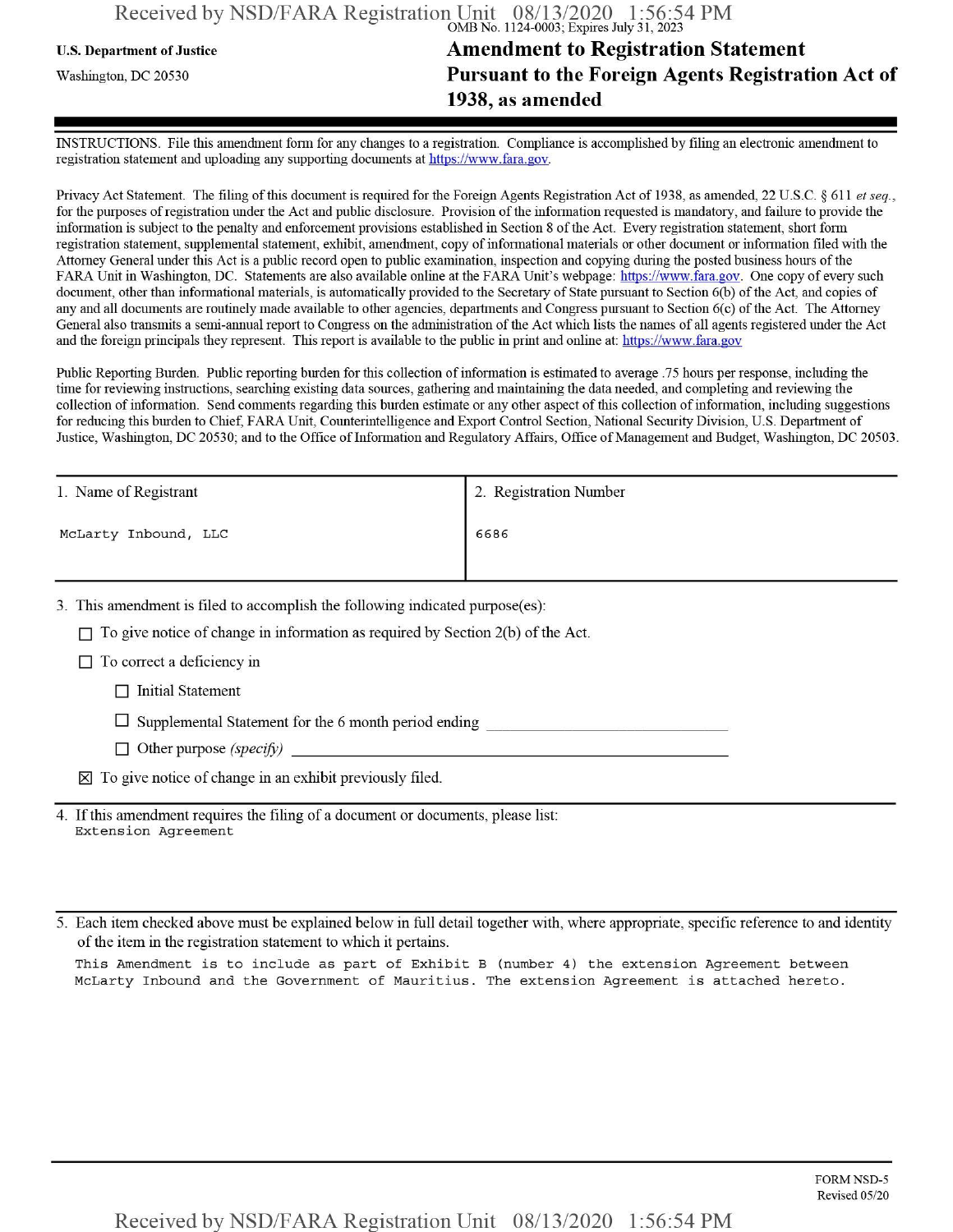## Received by NSD/FARA Registration Unit 08/13/2020 1:56:54 PM<br>
OMB No. 1124-0003; Expires July 31, 2023

## U.S. Department ofJustice **Amendment to Registration Statement** Washington, dc <sup>20530</sup>**Pursuant to the Foreign Agents Registration Act of 1938, as amended**

INSTRUCTIONS. File this amendment form for any changes to a registration. Compliance is accomplished by filing an electronic amendment to registration statement and uploading any supporting documents at https://www.fara.gov.

Privacy Act Statement. The filing of this document is required for the Foreign Agents Registration Act of 1938, as amended, 22 U.S.C. § 611 *et seq.*, for the purposes of registration under the Act and public disclosure. Provision of the information requested is mandatory, and failure to provide the information is subject to the penalty and enforcement provisions established in Section 8 ofthe Act. Every registration statement, short form registration statement, supplemental statement, exhibit, amendment, copy ofinformational materials or other document or information filed with the Attorney General under this Act is a public record open to public examination, inspection and copying during the posted business hours ofthe FARA Unit in Washington, DC. Statements are also available online at the FARA Unit's webpage: https://www.fara.gov. One copy of every such document, other than informational materials, is automatically provided to the Secretary of State pursuant to Section 6(b) ofthe Act, and copies of any and all documents are routinely made available to other agencies, departments and Congress pursuant to Section 6(c) ofthe Act. The Attorney General also transmits a semi-annual report to Congress on the administration ofthe Act which lists the names ofall agents registered under the Act and the foreign principals they represent. This report is available to the public in print and online at: https://www.fara. gov

Public Reporting Burden. Public reporting burden for this collection of information is estimated to average .75 hours per response, including the time for reviewing instructions, searching existing data sources, gathering and maintaining the data needed, and completing and reviewing the collection of information. Send comments regarding this burden estimate or any other aspect of this collection of information, including suggestions for reducing this burden to Chief, FARA Unit, Counterintelligence and Export Control Section, National Security Division, U.S. Department of Justice, Washington, DC 20530; and to the Office of Information and Regulatory Affairs, Office of Management and Budget, Washington, DC 20503.

| 1. Name of Registrant | 2. Registration Number |
|-----------------------|------------------------|
| McLarty Inbound, LLC  | 6686                   |

3. This amendment is filed to accomplish the following indicated purpose(es):

 $\Box$  To give notice of change in information as required by Section 2(b) of the Act.

 $\Box$  To correct a deficiency in

 $\Box$  Initial Statement

 $\square$  Supplemental Statement for the 6 month period ending

 $\Box$  Other purpose *(specify)* 

 $\boxtimes$  To give notice of change in an exhibit previously filed.

4. Ifthis amendment requires the filing of a document or documents, please list: Extension Agreement

5. Each item checked above must be explained below in foil detail together with, where appropriate, specific reference to and identity of the item in the registration statement to which it pertains.

This Amendment is to include as part of Exhibit B (number 4) the extension Agreement between McLarty Inbound and the Government of Mauritius. The extension Agreement is attached hereto.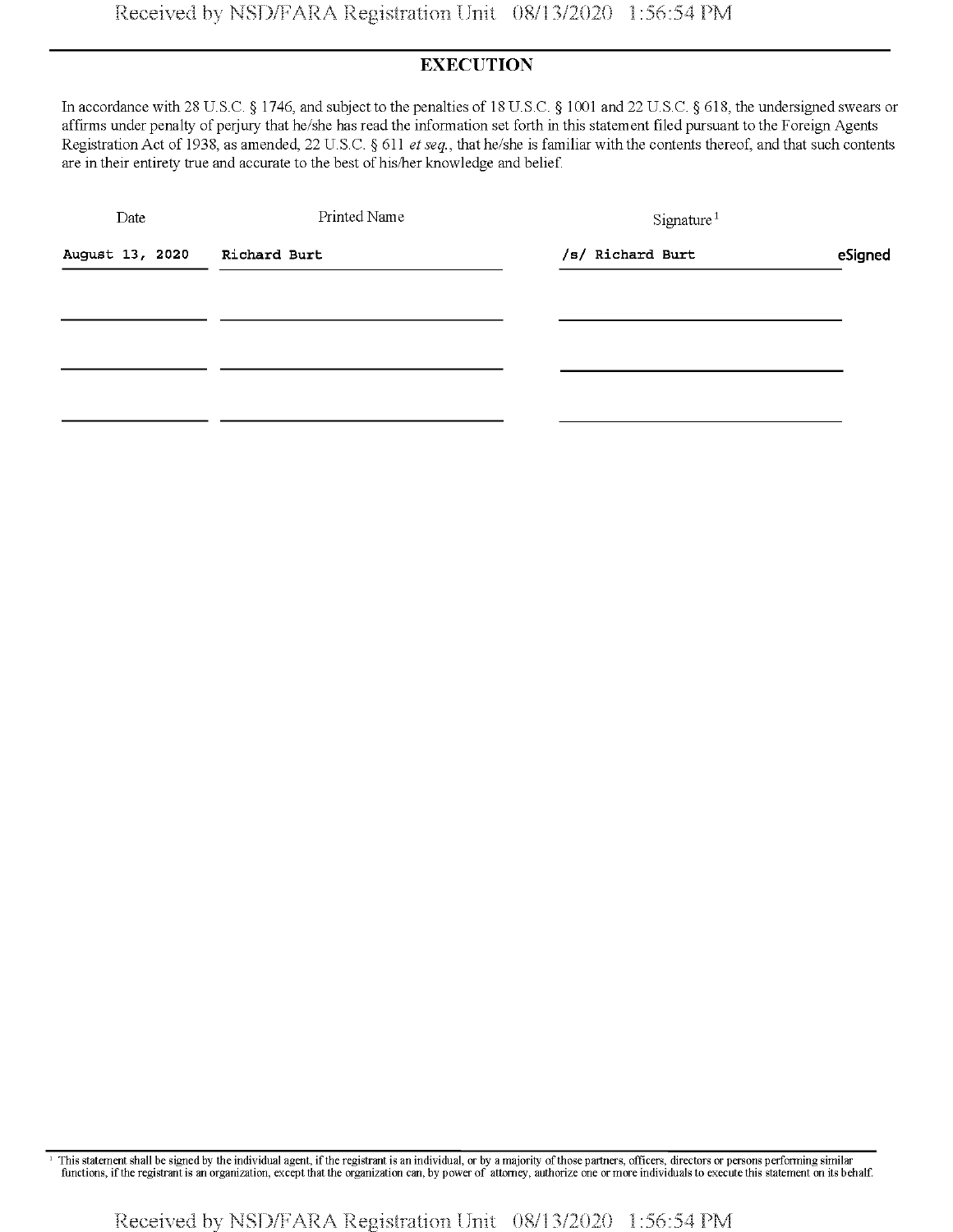## **EXECUTION**

In accordance with 28 U.S.C. § 1746, and subject to the penalties of 18 U.S.C. § 1001 and 22 U.S.C. § 618, the undersigned swears or affirms under penalty of perjury that he/she has read the information set forth in this statement filed pursuant to the Foreign Agents Registration Act of 1938, as amended, 22 U.S.C. § 611 *et seq.*, that he/she is familiar with the contents thereof, and that such contents are in their entirety true and accurate to the best of his/her knowledge and belief.

| Date            | Printed Name<br>Richard Burt | Signature <sup>1</sup> |         |  |
|-----------------|------------------------------|------------------------|---------|--|
| August 13, 2020 |                              | /s/ Richard Burt       | eSigned |  |
|                 |                              |                        |         |  |
|                 |                              |                        |         |  |
|                 |                              |                        |         |  |
|                 |                              |                        |         |  |

This statement shall be signed by the individual agent, if the registrant is an individual, or by a majority of those partners, officers, directors or persons performing similar functions, if the registrant is an organizat